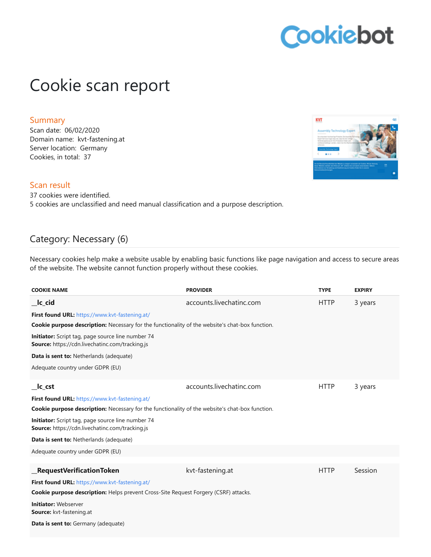# Cookiebot

## Cookie scan report

### **Summary**

Scan date: 06/02/2020 Domain name: kvt-fastening.at Server location: Germany Cookies, in total: 37

### Scan result

37 cookies were identified. 5 cookies are unclassified and need manual classification and a purpose description.

### Category: Necessary (6)

Necessary cookies help make a website usable by enabling basic functions like page navigation and access to secure areas of the website. The website cannot function properly without these cookies.

| <b>COOKIE NAME</b>                                                                                          | <b>PROVIDER</b>          | <b>TYPE</b> | <b>EXPIRY</b> |
|-------------------------------------------------------------------------------------------------------------|--------------------------|-------------|---------------|
| __lc_cid                                                                                                    | accounts.livechatinc.com | <b>HTTP</b> | 3 years       |
| First found URL: https://www.kvt-fastening.at/                                                              |                          |             |               |
| <b>Cookie purpose description:</b> Necessary for the functionality of the website's chat-box function.      |                          |             |               |
| Initiator: Script tag, page source line number 74<br><b>Source:</b> https://cdn.livechatinc.com/tracking.js |                          |             |               |
| Data is sent to: Netherlands (adequate)                                                                     |                          |             |               |
| Adequate country under GDPR (EU)                                                                            |                          |             |               |
| $\mathsf{I}$ c_cst                                                                                          | accounts.livechatinc.com | <b>HTTP</b> | 3 years       |
| First found URL: https://www.kvt-fastening.at/                                                              |                          |             |               |
| <b>Cookie purpose description:</b> Necessary for the functionality of the website's chat-box function.      |                          |             |               |
| Initiator: Script tag, page source line number 74<br><b>Source:</b> https://cdn.livechatinc.com/tracking.js |                          |             |               |
| Data is sent to: Netherlands (adequate)                                                                     |                          |             |               |
| Adequate country under GDPR (EU)                                                                            |                          |             |               |
| <b>RequestVerificationToken</b>                                                                             | kvt-fastening.at         | <b>HTTP</b> | Session       |
| First found URL: https://www.kvt-fastening.at/                                                              |                          |             |               |
| <b>Cookie purpose description:</b> Helps prevent Cross-Site Request Forgery (CSRF) attacks.                 |                          |             |               |
| <b>Initiator: Webserver</b><br><b>Source:</b> kvt-fastening.at                                              |                          |             |               |
| <b>Data is sent to:</b> Germany (adequate)                                                                  |                          |             |               |

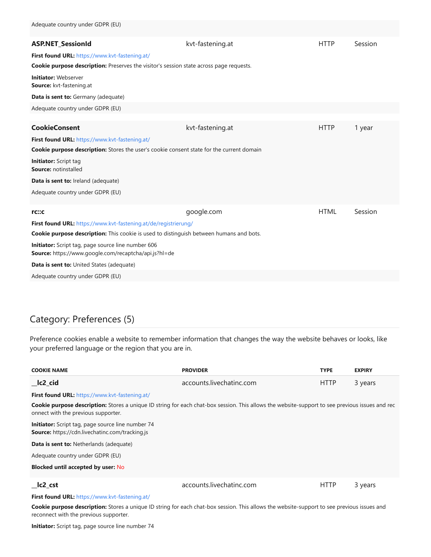| <b>ASP.NET_SessionId</b>                                                                                           | kvt-fastening.at | <b>HTTP</b> | Session |  |
|--------------------------------------------------------------------------------------------------------------------|------------------|-------------|---------|--|
| First found URL: https://www.kvt-fastening.at/                                                                     |                  |             |         |  |
| Cookie purpose description: Preserves the visitor's session state across page requests.                            |                  |             |         |  |
| <b>Initiator: Webserver</b><br>Source: kvt-fastening.at                                                            |                  |             |         |  |
| Data is sent to: Germany (adequate)                                                                                |                  |             |         |  |
| Adequate country under GDPR (EU)                                                                                   |                  |             |         |  |
|                                                                                                                    |                  |             |         |  |
| <b>CookieConsent</b>                                                                                               | kvt-fastening.at | <b>HTTP</b> | 1 year  |  |
| First found URL: https://www.kvt-fastening.at/                                                                     |                  |             |         |  |
| <b>Cookie purpose description:</b> Stores the user's cookie consent state for the current domain                   |                  |             |         |  |
| <b>Initiator:</b> Script tag<br>Source: notinstalled                                                               |                  |             |         |  |
| Data is sent to: Ireland (adequate)                                                                                |                  |             |         |  |
| Adequate country under GDPR (EU)                                                                                   |                  |             |         |  |
| rc::c                                                                                                              | google.com       | <b>HTML</b> | Session |  |
| First found URL: https://www.kvt-fastening.at/de/registrierung/                                                    |                  |             |         |  |
| <b>Cookie purpose description:</b> This cookie is used to distinguish between humans and bots.                     |                  |             |         |  |
| Initiator: Script tag, page source line number 606<br><b>Source:</b> https://www.google.com/recaptcha/api.js?hl=de |                  |             |         |  |
| Data is sent to: United States (adequate)                                                                          |                  |             |         |  |
| Adequate country under GDPR (EU)                                                                                   |                  |             |         |  |

### Category: Preferences (5)

Preference cookies enable a website to remember information that changes the way the website behaves or looks, like your preferred language or the region that you are in.

| <b>COOKIE NAME</b>                                                                                                                                                                            | <b>PROVIDER</b>          | <b>TYPE</b> | <b>EXPIRY</b> |
|-----------------------------------------------------------------------------------------------------------------------------------------------------------------------------------------------|--------------------------|-------------|---------------|
| $\lfloor$ Ic2 $\lfloor$ cid                                                                                                                                                                   | accounts.livechatinc.com | <b>HTTP</b> | 3 years       |
| First found URL: https://www.kvt-fastening.at/                                                                                                                                                |                          |             |               |
| <b>Cookie purpose description:</b> Stores a unique ID string for each chat-box session. This allows the website-support to see previous issues and rec<br>onnect with the previous supporter. |                          |             |               |
| <b>Initiator:</b> Script tag, page source line number 74<br><b>Source:</b> https://cdn.livechatinc.com/tracking.js                                                                            |                          |             |               |
| <b>Data is sent to: Netherlands (adequate)</b>                                                                                                                                                |                          |             |               |
| Adequate country under GDPR (EU)                                                                                                                                                              |                          |             |               |
| <b>Blocked until accepted by user: No</b>                                                                                                                                                     |                          |             |               |
| Ic2 cst                                                                                                                                                                                       | accounts.livechatinc.com | <b>HTTP</b> | 3 years       |
| First found URL: https://www.kvt-fastening.at/                                                                                                                                                |                          |             |               |

**Cookie purpose description:** Stores a unique ID string for each chat-box session. This allows the website-support to see previous issues and reconnect with the previous supporter.

**Initiator:** Script tag, page source line number 74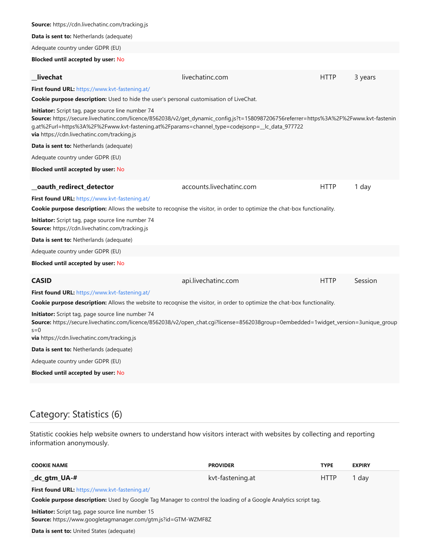| <b>Source:</b> https://cdn.livechatinc.com/tracking.js                                                                                                                                                                                                                                                                                                     |                          |             |         |  |
|------------------------------------------------------------------------------------------------------------------------------------------------------------------------------------------------------------------------------------------------------------------------------------------------------------------------------------------------------------|--------------------------|-------------|---------|--|
| <b>Data is sent to: Netherlands (adequate)</b>                                                                                                                                                                                                                                                                                                             |                          |             |         |  |
| Adequate country under GDPR (EU)                                                                                                                                                                                                                                                                                                                           |                          |             |         |  |
| <b>Blocked until accepted by user: No</b>                                                                                                                                                                                                                                                                                                                  |                          |             |         |  |
| livechat                                                                                                                                                                                                                                                                                                                                                   | livechatinc.com          | <b>HTTP</b> | 3 years |  |
| First found URL: https://www.kvt-fastening.at/                                                                                                                                                                                                                                                                                                             |                          |             |         |  |
| Cookie purpose description: Used to hide the user's personal customisation of LiveChat.                                                                                                                                                                                                                                                                    |                          |             |         |  |
| <b>Initiator:</b> Script tag, page source line number 74<br>Source: https://secure.livechatinc.com/licence/8562038/v2/get_dynamic_config.js?t=1580987206756referrer=https%3A%2F%2Fwww.kvt-fastenin<br>g.at%2Furl=https%3A%2F%2Fwww.kvt-fastening.at%2Fparams=channel_type=codejsonp=__lc_data_977722<br><b>via</b> https://cdn.livechatinc.com/tracking.js |                          |             |         |  |
| <b>Data is sent to: Netherlands (adequate)</b>                                                                                                                                                                                                                                                                                                             |                          |             |         |  |
| Adequate country under GDPR (EU)                                                                                                                                                                                                                                                                                                                           |                          |             |         |  |
| <b>Blocked until accepted by user: No</b>                                                                                                                                                                                                                                                                                                                  |                          |             |         |  |
| _oauth_redirect_detector                                                                                                                                                                                                                                                                                                                                   | accounts.livechatinc.com | <b>HTTP</b> | 1 day   |  |
| First found URL: https://www.kvt-fastening.at/                                                                                                                                                                                                                                                                                                             |                          |             |         |  |
| <b>Cookie purpose description:</b> Allows the website to recognise the visitor, in order to optimize the chat-box functionality.                                                                                                                                                                                                                           |                          |             |         |  |
| <b>Initiator:</b> Script tag, page source line number 74<br>Source: https://cdn.livechatinc.com/tracking.js                                                                                                                                                                                                                                                |                          |             |         |  |
| <b>Data is sent to: Netherlands (adequate)</b>                                                                                                                                                                                                                                                                                                             |                          |             |         |  |
| Adequate country under GDPR (EU)                                                                                                                                                                                                                                                                                                                           |                          |             |         |  |
| <b>Blocked until accepted by user: No</b>                                                                                                                                                                                                                                                                                                                  |                          |             |         |  |
| <b>CASID</b>                                                                                                                                                                                                                                                                                                                                               | api.livechatinc.com      | <b>HTTP</b> | Session |  |
| First found URL: https://www.kvt-fastening.at/                                                                                                                                                                                                                                                                                                             |                          |             |         |  |
| <b>Cookie purpose description:</b> Allows the website to recognise the visitor, in order to optimize the chat-box functionality.                                                                                                                                                                                                                           |                          |             |         |  |
| <b>Initiator:</b> Script tag, page source line number 74<br>Source: https://secure.livechatinc.com/licence/8562038/v2/open_chat.cgi?license=8562038group=0embedded=1widget_version=3unique_qroup<br>$s=0$<br><b>via</b> https://cdn.livechatinc.com/tracking.js                                                                                            |                          |             |         |  |
| <b>Data is sent to:</b> Netherlands (adequate)                                                                                                                                                                                                                                                                                                             |                          |             |         |  |
| Adequate country under GDPR (EU)                                                                                                                                                                                                                                                                                                                           |                          |             |         |  |
| <b>Blocked until accepted by user: No</b>                                                                                                                                                                                                                                                                                                                  |                          |             |         |  |
|                                                                                                                                                                                                                                                                                                                                                            |                          |             |         |  |

### Category: Statistics (6)

Statistic cookies help website owners to understand how visitors interact with websites by collecting and reporting information anonymously.

| <b>COOKIE NAME</b>                                                                                                               | <b>PROVIDER</b>  | <b>TYPE</b> | <b>EXPIRY</b> |  |
|----------------------------------------------------------------------------------------------------------------------------------|------------------|-------------|---------------|--|
| _dc_gtm_UA-#                                                                                                                     | kvt-fastening.at | <b>HTTP</b> | 1 dav         |  |
| First found URL: https://www.kvt-fastening.at/                                                                                   |                  |             |               |  |
| <b>Cookie purpose description:</b> Used by Google Tag Manager to control the loading of a Google Analytics script tag.           |                  |             |               |  |
| <b>Initiator:</b> Script tag, page source line number 15<br><b>Source:</b> https://www.googletagmanager.com/gtm.js?id=GTM-WZMF8Z |                  |             |               |  |
| <b>Data is sent to:</b> United States (adequate)                                                                                 |                  |             |               |  |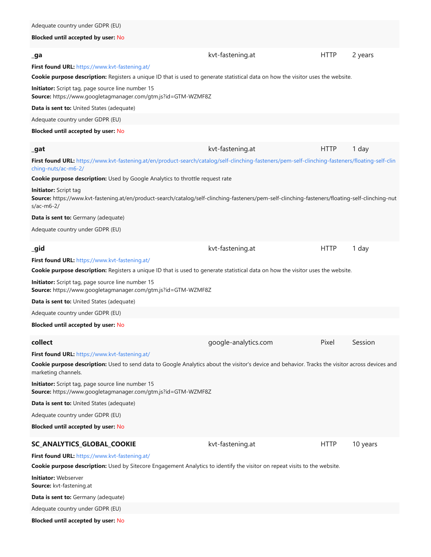#### **Blocked until accepted by user:** No

| _ga                                                                                                                                                                                            | kvt-fastening.at     | <b>HTTP</b> | 2 years  |
|------------------------------------------------------------------------------------------------------------------------------------------------------------------------------------------------|----------------------|-------------|----------|
| First found URL: https://www.kvt-fastening.at/                                                                                                                                                 |                      |             |          |
| Cookie purpose description: Registers a unique ID that is used to generate statistical data on how the visitor uses the website.                                                               |                      |             |          |
| Initiator: Script tag, page source line number 15<br>Source: https://www.googletagmanager.com/gtm.js?id=GTM-WZMF8Z                                                                             |                      |             |          |
| Data is sent to: United States (adequate)                                                                                                                                                      |                      |             |          |
| Adequate country under GDPR (EU)                                                                                                                                                               |                      |             |          |
| <b>Blocked until accepted by user: No</b>                                                                                                                                                      |                      |             |          |
| $\_$ gat                                                                                                                                                                                       | kvt-fastening.at     | <b>HTTP</b> | 1 day    |
| First found URL: https://www.kvt-fastening.at/en/product-search/catalog/self-clinching-fasteners/pem-self-clinching-fasteners/floating-self-clin<br>ching-nuts/ac-m6-2/                        |                      |             |          |
| Cookie purpose description: Used by Google Analytics to throttle request rate                                                                                                                  |                      |             |          |
| <b>Initiator:</b> Script tag<br>Source: https://www.kvt-fastening.at/en/product-search/catalog/self-clinching-fasteners/pem-self-clinching-fasteners/floating-self-clinching-nut<br>s/ac-m6-2/ |                      |             |          |
| Data is sent to: Germany (adequate)                                                                                                                                                            |                      |             |          |
| Adequate country under GDPR (EU)                                                                                                                                                               |                      |             |          |
| _gid                                                                                                                                                                                           | kvt-fastening.at     | <b>HTTP</b> | 1 day    |
| First found URL: https://www.kvt-fastening.at/                                                                                                                                                 |                      |             |          |
| Cookie purpose description: Registers a unique ID that is used to generate statistical data on how the visitor uses the website.                                                               |                      |             |          |
| Initiator: Script tag, page source line number 15<br>Source: https://www.googletagmanager.com/gtm.js?id=GTM-WZMF8Z                                                                             |                      |             |          |
| <b>Data is sent to:</b> United States (adequate)                                                                                                                                               |                      |             |          |
| Adequate country under GDPR (EU)                                                                                                                                                               |                      |             |          |
| <b>Blocked until accepted by user: No</b>                                                                                                                                                      |                      |             |          |
| collect                                                                                                                                                                                        | google-analytics.com | Pixel       | Session  |
| First found URL: https://www.kvt-fastening.at/                                                                                                                                                 |                      |             |          |
| Cookie purpose description: Used to send data to Google Analytics about the visitor's device and behavior. Tracks the visitor across devices and<br>marketing channels.                        |                      |             |          |
| Initiator: Script tag, page source line number 15<br>Source: https://www.googletagmanager.com/gtm.js?id=GTM-WZMF8Z                                                                             |                      |             |          |
| Data is sent to: United States (adequate)                                                                                                                                                      |                      |             |          |
| Adequate country under GDPR (EU)                                                                                                                                                               |                      |             |          |
| <b>Blocked until accepted by user: No</b>                                                                                                                                                      |                      |             |          |
| <b>SC_ANALYTICS_GLOBAL_COOKIE</b>                                                                                                                                                              | kvt-fastening.at     | <b>HTTP</b> | 10 years |
| First found URL: https://www.kvt-fastening.at/                                                                                                                                                 |                      |             |          |
| Cookie purpose description: Used by Sitecore Engagement Analytics to identify the visitor on repeat visits to the website.                                                                     |                      |             |          |
| <b>Initiator: Webserver</b><br>Source: kvt-fastening.at                                                                                                                                        |                      |             |          |
| Data is sent to: Germany (adequate)                                                                                                                                                            |                      |             |          |
| Adequate country under GDPR (EU)                                                                                                                                                               |                      |             |          |

**Blocked until accepted by user:** No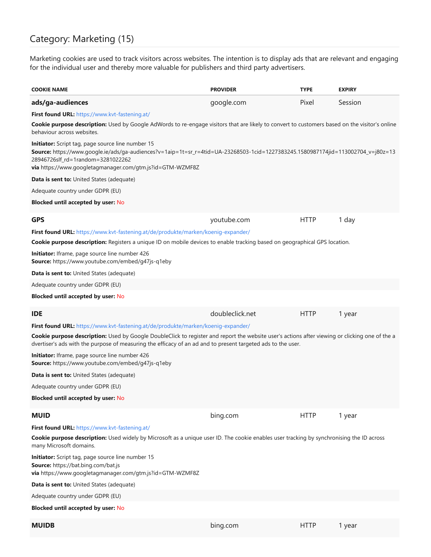### Category: Marketing (15)

Marketing cookies are used to track visitors across websites. The intention is to display ads that are relevant and engaging for the individual user and thereby more valuable for publishers and third party advertisers.

| <b>COOKIE NAME</b>                                                                                                                                                                                                                                                                             | <b>PROVIDER</b> | <b>TYPE</b> | <b>EXPIRY</b> |
|------------------------------------------------------------------------------------------------------------------------------------------------------------------------------------------------------------------------------------------------------------------------------------------------|-----------------|-------------|---------------|
| ads/ga-audiences                                                                                                                                                                                                                                                                               | google.com      | Pixel       | Session       |
| First found URL: https://www.kvt-fastening.at/                                                                                                                                                                                                                                                 |                 |             |               |
| Cookie purpose description: Used by Google AdWords to re-engage visitors that are likely to convert to customers based on the visitor's online<br>behaviour across websites.                                                                                                                   |                 |             |               |
| Initiator: Script tag, page source line number 15<br><b>Source:</b> https://www.google.ie/ads/ga-audiences?v=1aip=1t=sr_r=4tid=UA-23268503-1cid=1227383245.1580987174jid=113002704_v=j80z=13<br>28946726slf_rd=1random=3281022262<br>via https://www.googletagmanager.com/gtm.js?id=GTM-WZMF8Z |                 |             |               |
| Data is sent to: United States (adequate)                                                                                                                                                                                                                                                      |                 |             |               |
| Adequate country under GDPR (EU)                                                                                                                                                                                                                                                               |                 |             |               |
| <b>Blocked until accepted by user: No</b>                                                                                                                                                                                                                                                      |                 |             |               |
| <b>GPS</b>                                                                                                                                                                                                                                                                                     | youtube.com     | <b>HTTP</b> | 1 day         |
| First found URL: https://www.kvt-fastening.at/de/produkte/marken/koenig-expander/                                                                                                                                                                                                              |                 |             |               |
| Cookie purpose description: Registers a unique ID on mobile devices to enable tracking based on geographical GPS location.                                                                                                                                                                     |                 |             |               |
| Initiator: Iframe, page source line number 426<br>Source: https://www.youtube.com/embed/g47js-g1eby                                                                                                                                                                                            |                 |             |               |
| Data is sent to: United States (adequate)                                                                                                                                                                                                                                                      |                 |             |               |
| Adequate country under GDPR (EU)                                                                                                                                                                                                                                                               |                 |             |               |
| <b>Blocked until accepted by user: No</b>                                                                                                                                                                                                                                                      |                 |             |               |
| IDE                                                                                                                                                                                                                                                                                            | doubleclick.net | <b>HTTP</b> | 1 year        |
| First found URL: https://www.kvt-fastening.at/de/produkte/marken/koenig-expander/                                                                                                                                                                                                              |                 |             |               |
| Cookie purpose description: Used by Google DoubleClick to register and report the website user's actions after viewing or clicking one of the a<br>dvertiser's ads with the purpose of measuring the efficacy of an ad and to present targeted ads to the user.                                |                 |             |               |
| Initiator: Iframe, page source line number 426<br>Source: https://www.youtube.com/embed/g47js-q1eby                                                                                                                                                                                            |                 |             |               |
| Data is sent to: United States (adequate)                                                                                                                                                                                                                                                      |                 |             |               |
| Adequate country under GDPR (EU)                                                                                                                                                                                                                                                               |                 |             |               |
| <b>Blocked until accepted by user: No</b>                                                                                                                                                                                                                                                      |                 |             |               |
| <b>MUID</b>                                                                                                                                                                                                                                                                                    | bing.com        | <b>HTTP</b> | 1 year        |
| First found URL: https://www.kvt-fastening.at/                                                                                                                                                                                                                                                 |                 |             |               |
| Cookie purpose description: Used widely by Microsoft as a unique user ID. The cookie enables user tracking by synchronising the ID across<br>many Microsoft domains.                                                                                                                           |                 |             |               |
| Initiator: Script tag, page source line number 15<br>Source: https://bat.bing.com/bat.js<br>via https://www.googletagmanager.com/gtm.js?id=GTM-WZMF8Z                                                                                                                                          |                 |             |               |
| Data is sent to: United States (adequate)                                                                                                                                                                                                                                                      |                 |             |               |
| Adequate country under GDPR (EU)                                                                                                                                                                                                                                                               |                 |             |               |
| <b>Blocked until accepted by user: No</b>                                                                                                                                                                                                                                                      |                 |             |               |
| <b>MUIDB</b>                                                                                                                                                                                                                                                                                   | bing.com        | <b>HTTP</b> | 1 year        |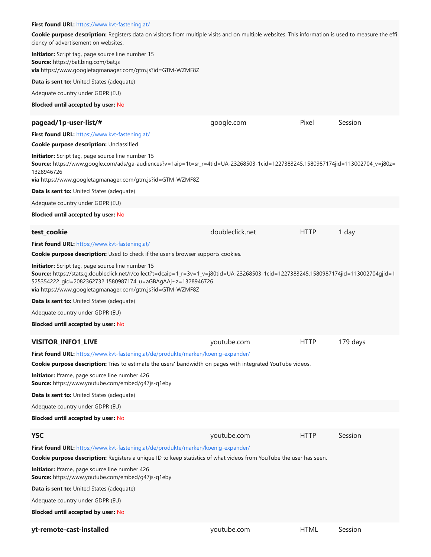#### **First found URL:** <https://www.kvt-fastening.at/>

**Cookie purpose description:** Registers data on visitors from multiple visits and on multiple websites. This information is used to measure the effi ciency of advertisement on websites.

**Initiator:** Script tag, page source line number 15 **Source:** https://bat.bing.com/bat.js **via** https://www.googletagmanager.com/gtm.js?id=GTM-WZMF8Z

**Data is sent to:** United States (adequate)

Adequate country under GDPR (EU)

#### **Blocked until accepted by user:** No

| pagead/1p-user-list/#                                                                                                                                                                                                                                                                                                  | google.com      | Pixel       | Session  |
|------------------------------------------------------------------------------------------------------------------------------------------------------------------------------------------------------------------------------------------------------------------------------------------------------------------------|-----------------|-------------|----------|
| First found URL: https://www.kvt-fastening.at/                                                                                                                                                                                                                                                                         |                 |             |          |
| Cookie purpose description: Unclassified                                                                                                                                                                                                                                                                               |                 |             |          |
| Initiator: Script tag, page source line number 15<br>Source: https://www.google.com/ads/ga-audiences?v=1aip=1t=sr_r=4tid=UA-23268503-1cid=1227383245.1580987174jid=113002704_v=j80z=<br>1328946726<br>via https://www.googletagmanager.com/gtm.js?id=GTM-WZMF8Z                                                        |                 |             |          |
| Data is sent to: United States (adequate)                                                                                                                                                                                                                                                                              |                 |             |          |
| Adequate country under GDPR (EU)                                                                                                                                                                                                                                                                                       |                 |             |          |
| <b>Blocked until accepted by user: No</b>                                                                                                                                                                                                                                                                              |                 |             |          |
|                                                                                                                                                                                                                                                                                                                        |                 |             |          |
| test_cookie                                                                                                                                                                                                                                                                                                            | doubleclick.net | <b>HTTP</b> | 1 day    |
| First found URL: https://www.kvt-fastening.at/                                                                                                                                                                                                                                                                         |                 |             |          |
| <b>Cookie purpose description:</b> Used to check if the user's browser supports cookies.                                                                                                                                                                                                                               |                 |             |          |
| Initiator: Script tag, page source line number 15<br>Source: https://stats.g.doubleclick.net/r/collect?t=dcaip=1_r=3v=1_v=j80tid=UA-23268503-1cid=1227383245.1580987174jid=113002704gjid=1<br>525354222_gid=2082362732.1580987174_u=aGBAgAAj~z=1328946726<br>via https://www.googletagmanager.com/gtm.js?id=GTM-WZMF8Z |                 |             |          |
| <b>Data is sent to:</b> United States (adequate)                                                                                                                                                                                                                                                                       |                 |             |          |
| Adequate country under GDPR (EU)                                                                                                                                                                                                                                                                                       |                 |             |          |
| <b>Blocked until accepted by user: No</b>                                                                                                                                                                                                                                                                              |                 |             |          |
| <b>VISITOR_INFO1_LIVE</b>                                                                                                                                                                                                                                                                                              | youtube.com     | <b>HTTP</b> | 179 days |
| First found URL: https://www.kvt-fastening.at/de/produkte/marken/koenig-expander/                                                                                                                                                                                                                                      |                 |             |          |
| Cookie purpose description: Tries to estimate the users' bandwidth on pages with integrated YouTube videos.                                                                                                                                                                                                            |                 |             |          |
| Initiator: Iframe, page source line number 426<br>Source: https://www.youtube.com/embed/g47js-q1eby                                                                                                                                                                                                                    |                 |             |          |
| Data is sent to: United States (adequate)                                                                                                                                                                                                                                                                              |                 |             |          |
| Adequate country under GDPR (EU)                                                                                                                                                                                                                                                                                       |                 |             |          |
| <b>Blocked until accepted by user: No</b>                                                                                                                                                                                                                                                                              |                 |             |          |
| <b>YSC</b>                                                                                                                                                                                                                                                                                                             | youtube.com     | <b>HTTP</b> | Session  |
| First found URL: https://www.kvt-fastening.at/de/produkte/marken/koenig-expander/                                                                                                                                                                                                                                      |                 |             |          |
| Cookie purpose description: Registers a unique ID to keep statistics of what videos from YouTube the user has seen.                                                                                                                                                                                                    |                 |             |          |
| Initiator: Iframe, page source line number 426<br>Source: https://www.youtube.com/embed/g47js-q1eby                                                                                                                                                                                                                    |                 |             |          |
| <b>Data is sent to:</b> United States (adequate)                                                                                                                                                                                                                                                                       |                 |             |          |
| Adequate country under GDPR (EU)                                                                                                                                                                                                                                                                                       |                 |             |          |
| <b>Blocked until accepted by user: No</b>                                                                                                                                                                                                                                                                              |                 |             |          |
| yt-remote-cast-installed                                                                                                                                                                                                                                                                                               | youtube.com     | <b>HTML</b> | Session  |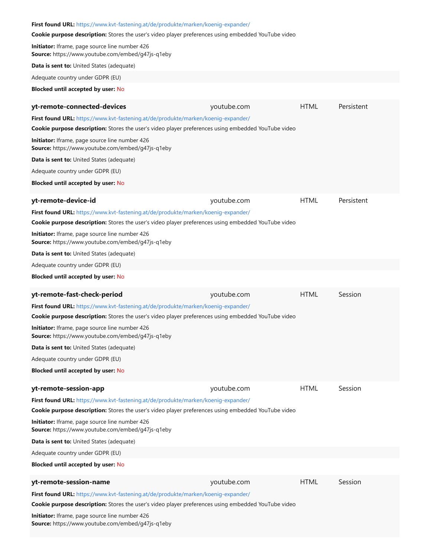### **First found URL:** <https://www.kvt-fastening.at/de/produkte/marken/koenig-expander/> **Cookie purpose description:** Stores the user's video player preferences using embedded YouTube video **Initiator:** Iframe, page source line number 426 **Source:** https://www.youtube.com/embed/g47js-q1eby **Data is sent to:** United States (adequate) Adequate country under GDPR (EU) **Blocked until accepted by user:** No **yt-remote-connected-devices** and the sympath of the sympathon of the error of the Persistent **First found URL:** <https://www.kvt-fastening.at/de/produkte/marken/koenig-expander/> **Cookie purpose description:** Stores the user's video player preferences using embedded YouTube video **Initiator:** Iframe, page source line number 426 **Source:** https://www.youtube.com/embed/g47js-q1eby **Data is sent to:** United States (adequate) Adequate country under GDPR (EU) **Blocked until accepted by user:** No **yt-remote-device-id youtube.com** HTML Persistent **First found URL:** <https://www.kvt-fastening.at/de/produkte/marken/koenig-expander/> **Cookie purpose description:** Stores the user's video player preferences using embedded YouTube video **Initiator:** Iframe, page source line number 426 **Source:** https://www.youtube.com/embed/g47js-q1eby **Data is sent to:** United States (adequate) Adequate country under GDPR (EU) **Blocked until accepted by user:** No **yt-remote-fast-check-period Comparison** youtube.com **HTML** Session **First found URL:** <https://www.kvt-fastening.at/de/produkte/marken/koenig-expander/> **Cookie purpose description:** Stores the user's video player preferences using embedded YouTube video **Initiator:** Iframe, page source line number 426 **Source:** https://www.youtube.com/embed/g47js-q1eby **Data is sent to:** United States (adequate) Adequate country under GDPR (EU) **Blocked until accepted by user:** No **yt-remote-session-app being a straight and service of the session of the session of the session First found URL:** <https://www.kvt-fastening.at/de/produkte/marken/koenig-expander/> **Cookie purpose description:** Stores the user's video player preferences using embedded YouTube video **Initiator:** Iframe, page source line number 426 **Source:** https://www.youtube.com/embed/g47js-q1eby **Data is sent to:** United States (adequate) Adequate country under GDPR (EU) **Blocked until accepted by user:** No **yt-remote-session-name Example 20 and Session** and Session and Session and HTML Session **First found URL:** <https://www.kvt-fastening.at/de/produkte/marken/koenig-expander/> **Cookie purpose description:** Stores the user's video player preferences using embedded YouTube video **Initiator:** Iframe, page source line number 426 **Source:** https://www.youtube.com/embed/g47js-q1eby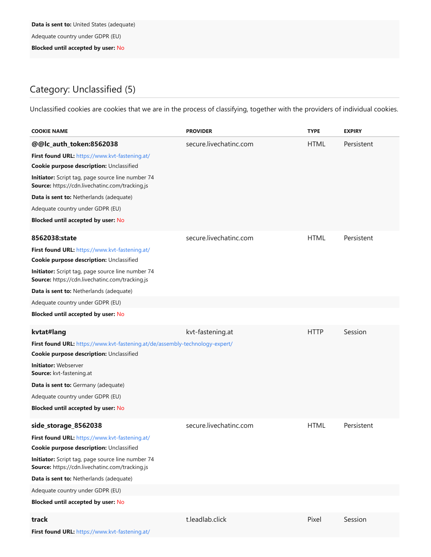Adequate country under GDPR (EU)

**Blocked until accepted by user:** No

### Category: Unclassified (5)

Unclassified cookies are cookies that we are in the process of classifying, together with the providers of individual cookies.

| <b>COOKIE NAME</b>                                                                                                                                                                                                                                                                                                                                        | <b>PROVIDER</b>        | <b>TYPE</b> | <b>EXPIRY</b> |
|-----------------------------------------------------------------------------------------------------------------------------------------------------------------------------------------------------------------------------------------------------------------------------------------------------------------------------------------------------------|------------------------|-------------|---------------|
| @@lc_auth_token:8562038<br>First found URL: https://www.kvt-fastening.at/<br>Cookie purpose description: Unclassified<br>Initiator: Script tag, page source line number 74<br>Source: https://cdn.livechatinc.com/tracking.js<br>Data is sent to: Netherlands (adequate)<br>Adequate country under GDPR (EU)<br><b>Blocked until accepted by user: No</b> | secure.livechatinc.com | <b>HTML</b> | Persistent    |
| 8562038:state<br>First found URL: https://www.kvt-fastening.at/<br>Cookie purpose description: Unclassified<br>Initiator: Script tag, page source line number 74<br>Source: https://cdn.livechatinc.com/tracking.js<br>Data is sent to: Netherlands (adequate)<br>Adequate country under GDPR (EU)                                                        | secure.livechatinc.com | <b>HTML</b> | Persistent    |
| <b>Blocked until accepted by user: No</b>                                                                                                                                                                                                                                                                                                                 |                        |             |               |
| kvtat#lang<br>First found URL: https://www.kvt-fastening.at/de/assembly-technology-expert/<br>Cookie purpose description: Unclassified<br><b>Initiator: Webserver</b><br>Source: kvt-fastening.at<br>Data is sent to: Germany (adequate)<br>Adequate country under GDPR (EU)<br><b>Blocked until accepted by user: No</b>                                 | kvt-fastening.at       | <b>HTTP</b> | Session       |
| side_storage_8562038<br>First found URL: https://www.kvt-fastening.at/<br>Cookie purpose description: Unclassified<br>Initiator: Script tag, page source line number 74<br>Source: https://cdn.livechatinc.com/tracking.js<br>Data is sent to: Netherlands (adequate)<br>Adequate country under GDPR (EU)<br><b>Blocked until accepted by user: No</b>    | secure.livechatinc.com | <b>HTML</b> | Persistent    |
| track<br>First found URL: https://www.kvt-fastening.at/                                                                                                                                                                                                                                                                                                   | t.leadlab.click        | Pixel       | Session       |